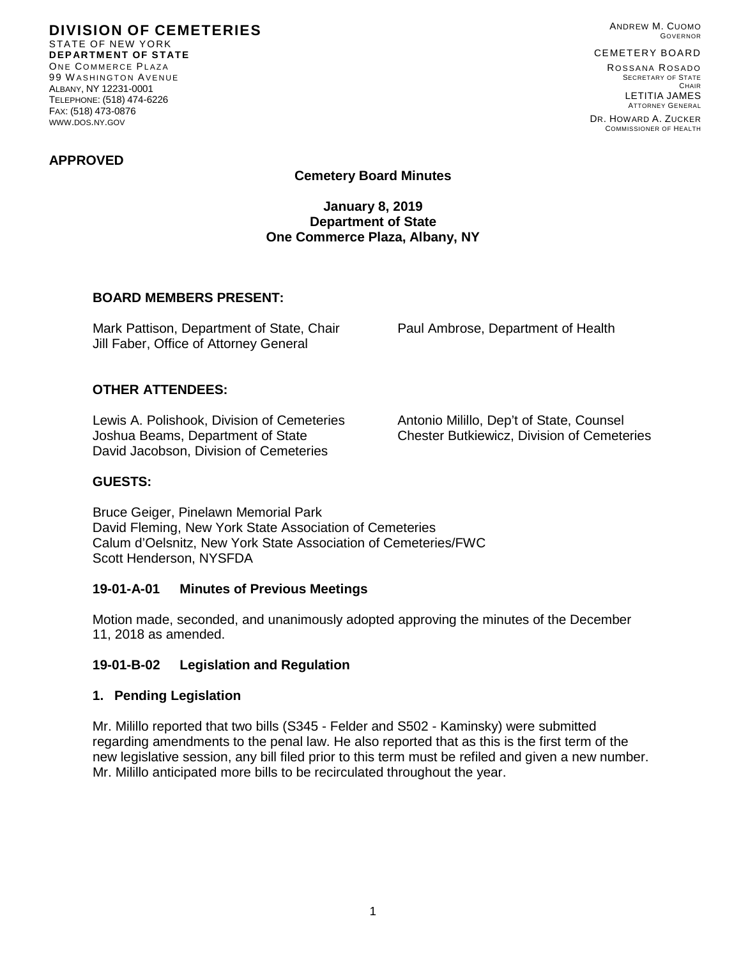**DIVISION OF CEMETERIES** STATE OF NEW YORK **DEPARTMENT OF STATE** ONE COMMERCE PLAZA 99 W ASHINGTON AVENUE ALBANY, NY 12231-0001 TELEPHONE: (518) 474-6226 FAX: (518) 473-0876 WWW.DOS.NY.GOV

ANDREW M. CUOMO GOVERNOR

# CEMETERY BOARD

ROSSANA ROSADO SECRETARY OF STATE CHAIR LETITIA JAMES ATTORNEY GENERAL

DR. HOWARD A. ZUCKER COMMISSIONER OF HEALTH

### **APPROVED**

## **Cemetery Board Minutes**

### **January 8, 2019 Department of State One Commerce Plaza, Albany, NY**

### **BOARD MEMBERS PRESENT:**

Mark Pattison, Department of State, Chair Paul Ambrose, Department of Health Jill Faber, Office of Attorney General

## **OTHER ATTENDEES:**

Lewis A. Polishook, Division of Cemeteries Antonio Milillo, Dep't of State, Counsel Joshua Beams, Department of State Chester Butkiewicz, Division of Cemeteries David Jacobson, Division of Cemeteries

### **GUESTS:**

Bruce Geiger, Pinelawn Memorial Park David Fleming, New York State Association of Cemeteries Calum d'Oelsnitz, New York State Association of Cemeteries/FWC Scott Henderson, NYSFDA

#### **19-01-A-01 Minutes of Previous Meetings**

Motion made, seconded, and unanimously adopted approving the minutes of the December 11, 2018 as amended.

#### **19-01-B-02 Legislation and Regulation**

#### **1. Pending Legislation**

Mr. Milillo reported that two bills (S345 - Felder and S502 - Kaminsky) were submitted regarding amendments to the penal law. He also reported that as this is the first term of the new legislative session, any bill filed prior to this term must be refiled and given a new number. Mr. Milillo anticipated more bills to be recirculated throughout the year.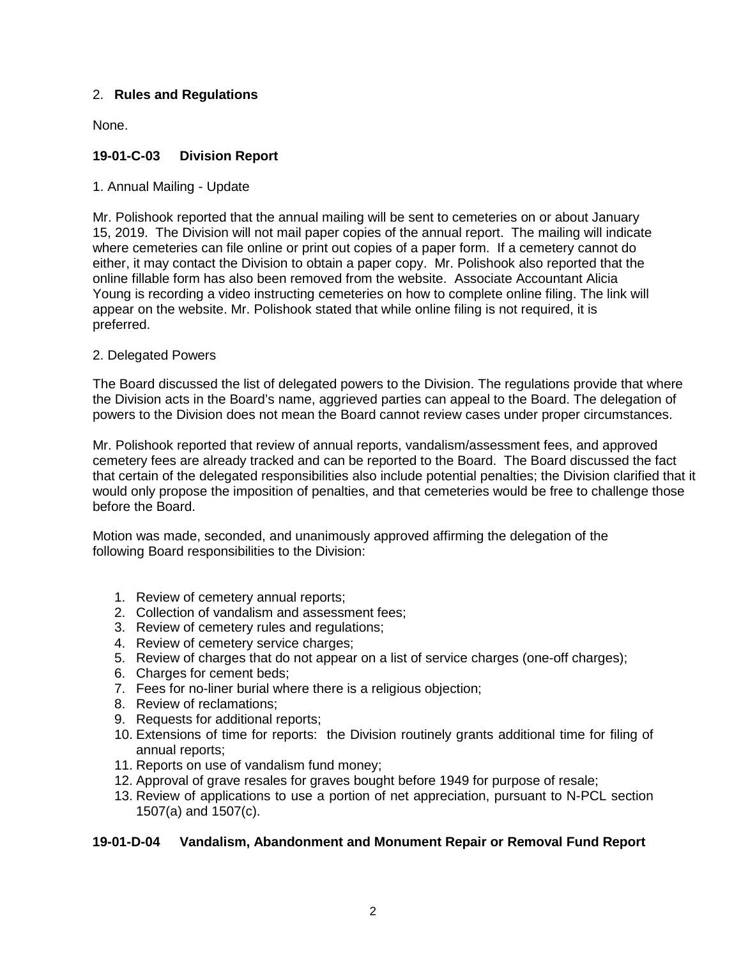## 2. **Rules and Regulations**

None.

# **19-01-C-03 Division Report**

1. Annual Mailing - Update

Mr. Polishook reported that the annual mailing will be sent to cemeteries on or about January 15, 2019. The Division will not mail paper copies of the annual report. The mailing will indicate where cemeteries can file online or print out copies of a paper form. If a cemetery cannot do either, it may contact the Division to obtain a paper copy. Mr. Polishook also reported that the online fillable form has also been removed from the website. Associate Accountant Alicia Young is recording a video instructing cemeteries on how to complete online filing. The link will appear on the website. Mr. Polishook stated that while online filing is not required, it is preferred.

## 2. Delegated Powers

The Board discussed the list of delegated powers to the Division. The regulations provide that where the Division acts in the Board's name, aggrieved parties can appeal to the Board. The delegation of powers to the Division does not mean the Board cannot review cases under proper circumstances.

Mr. Polishook reported that review of annual reports, vandalism/assessment fees, and approved cemetery fees are already tracked and can be reported to the Board. The Board discussed the fact that certain of the delegated responsibilities also include potential penalties; the Division clarified that it would only propose the imposition of penalties, and that cemeteries would be free to challenge those before the Board.

Motion was made, seconded, and unanimously approved affirming the delegation of the following Board responsibilities to the Division:

- 1. Review of cemetery annual reports;
- 2. Collection of vandalism and assessment fees;
- 3. Review of cemetery rules and regulations;
- 4. Review of cemetery service charges;
- 5. Review of charges that do not appear on a list of service charges (one-off charges);
- 6. Charges for cement beds;
- 7. Fees for no-liner burial where there is a religious objection;
- 8. Review of reclamations;
- 9. Requests for additional reports;
- 10. Extensions of time for reports: the Division routinely grants additional time for filing of annual reports;
- 11. Reports on use of vandalism fund money;
- 12. Approval of grave resales for graves bought before 1949 for purpose of resale;
- 13. Review of applications to use a portion of net appreciation, pursuant to N-PCL section 1507(a) and 1507(c).

## **19-01-D-04 Vandalism, Abandonment and Monument Repair or Removal Fund Report**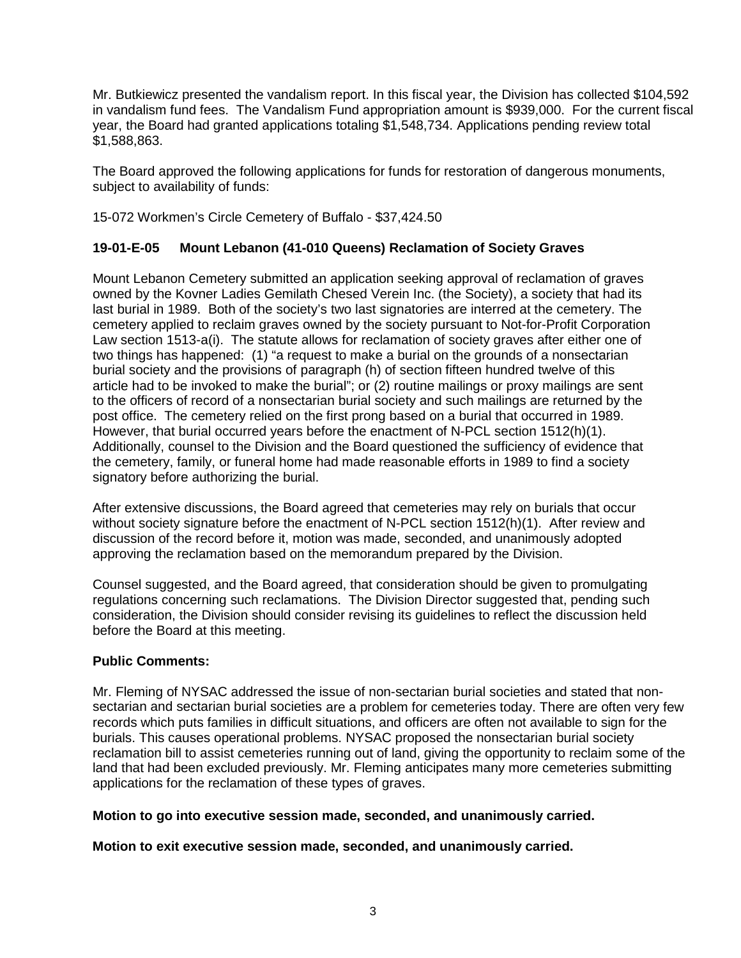Mr. Butkiewicz presented the vandalism report. In this fiscal year, the Division has collected \$104,592 in vandalism fund fees. The Vandalism Fund appropriation amount is \$939,000. For the current fiscal year, the Board had granted applications totaling \$1,548,734. Applications pending review total \$1,588,863.

The Board approved the following applications for funds for restoration of dangerous monuments, subject to availability of funds:

15-072 Workmen's Circle Cemetery of Buffalo - \$37,424.50

# **19-01-E-05 Mount Lebanon (41-010 Queens) Reclamation of Society Graves**

Mount Lebanon Cemetery submitted an application seeking approval of reclamation of graves owned by the Kovner Ladies Gemilath Chesed Verein Inc. (the Society), a society that had its last burial in 1989. Both of the society's two last signatories are interred at the cemetery. The cemetery applied to reclaim graves owned by the society pursuant to Not-for-Profit Corporation Law section 1513-a(i). The statute allows for reclamation of society graves after either one of two things has happened: (1) "a request to make a burial on the grounds of a nonsectarian burial society and the provisions of paragraph (h) of section fifteen hundred twelve of this article had to be invoked to make the burial"; or (2) routine mailings or proxy mailings are sent to the officers of record of a nonsectarian burial society and such mailings are returned by the post office. The cemetery relied on the first prong based on a burial that occurred in 1989. However, that burial occurred years before the enactment of N-PCL section 1512(h)(1). Additionally, counsel to the Division and the Board questioned the sufficiency of evidence that the cemetery, family, or funeral home had made reasonable efforts in 1989 to find a society signatory before authorizing the burial.

After extensive discussions, the Board agreed that cemeteries may rely on burials that occur without society signature before the enactment of N-PCL section 1512(h)(1). After review and discussion of the record before it, motion was made, seconded, and unanimously adopted approving the reclamation based on the memorandum prepared by the Division.

Counsel suggested, and the Board agreed, that consideration should be given to promulgating regulations concerning such reclamations. The Division Director suggested that, pending such consideration, the Division should consider revising its guidelines to reflect the discussion held before the Board at this meeting.

## **Public Comments:**

Mr. Fleming of NYSAC addressed the issue of non-sectarian burial societies and stated that nonsectarian and sectarian burial societies are a problem for cemeteries today. There are often very few records which puts families in difficult situations, and officers are often not available to sign for the burials. This causes operational problems. NYSAC proposed the nonsectarian burial society reclamation bill to assist cemeteries running out of land, giving the opportunity to reclaim some of the land that had been excluded previously. Mr. Fleming anticipates many more cemeteries submitting applications for the reclamation of these types of graves.

**Motion to go into executive session made, seconded, and unanimously carried.**

**Motion to exit executive session made, seconded, and unanimously carried.**